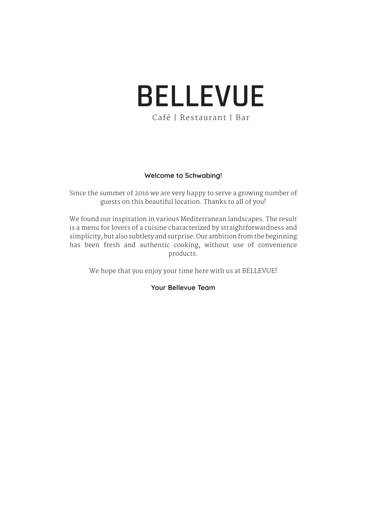# **BELLEVUE** Café | Restaurant | Bar

#### **Welcome to Schwabing!**

Since the summer of 2016 we are very happy to serve a growing number of guests on this beautiful location. Thanks to all of you!

We found our inspiration in various Mediterranean landscapes. The result is a menu for lovers of a cuisine characterized by straightforwardness and simplicity, but also subtlety and surprise. Our ambition from the beginning has been fresh and authentic cooking, without use of convenience products.

We hope that you enjoy your time here with us at BELLEVUE!

**Your Bellevue Team**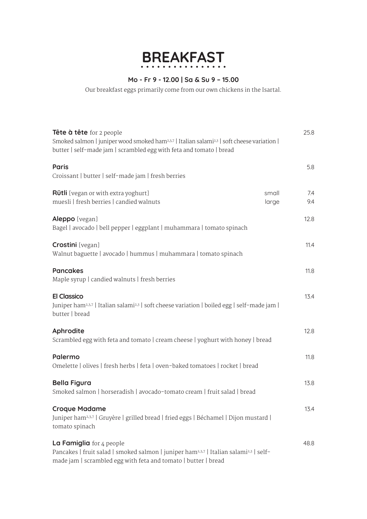# **BREAKFAST**

## **Mo - Fr 9 - 12.00 | Sa & Su 9 – 15.00**

Our breakfast eggs primarily come from our own chickens in the Isartal.

| <b>Tête à tête</b> for 2 people<br>Smoked salmon   juniper wood smoked ham <sup>2,3,7</sup>   Italian salami <sup>2,3</sup>   soft cheese variation  <br>butter   self-made jam   scrambled egg with feta and tomato   bread | 25.8                         |
|------------------------------------------------------------------------------------------------------------------------------------------------------------------------------------------------------------------------------|------------------------------|
| <b>Paris</b><br>Croissant   butter   self-made jam   fresh berries                                                                                                                                                           | 5.8                          |
| <b>Rütli</b> [vegan or with extra yoghurt]<br>muesli   fresh berries   candied walnuts                                                                                                                                       | small<br>7.4<br>9.4<br>large |
| Aleppo [vegan]<br>Bagel   avocado   bell pepper   eggplant   muhammara   tomato spinach                                                                                                                                      | 12.8                         |
| <b>Crostini</b> [vegan]<br>Walnut baguette   avocado   hummus   muhammara   tomato spinach                                                                                                                                   | 11.4                         |
| <b>Pancakes</b><br>Maple syrup   candied walnuts   fresh berries                                                                                                                                                             | 11.8                         |
| <b>El Classico</b><br>Juniper ham <sup>2,3,7</sup>   Italian salami <sup>2,3</sup>   soft cheese variation   boiled egg   self-made jam  <br>butter   bread                                                                  | 13.4                         |
| Aphrodite<br>Scrambled egg with feta and tomato   cream cheese   yoghurt with honey   bread                                                                                                                                  | 12.8                         |
| Palermo<br>Omelette   olives   fresh herbs   feta   oven-baked tomatoes   rocket   bread                                                                                                                                     | 11.8                         |
| <b>Bella Figura</b><br>Smoked salmon   horseradish   avocado-tomato cream   fruit salad   bread                                                                                                                              | 13.8                         |
| <b>Croque Madame</b><br>Juniper ham <sup>2,3,7</sup>   Gruyère   grilled bread   fried eggs   Béchamel   Dijon mustard  <br>tomato spinach                                                                                   | 13.4                         |
| La Famiglia for 4 people<br>Pancakes   fruit salad   smoked salmon   juniper ham <sup>2,3,7</sup>   Italian salami <sup>2,3</sup>   self-<br>made jam   scrambled egg with feta and tomato   butter   bread                  | 48.8                         |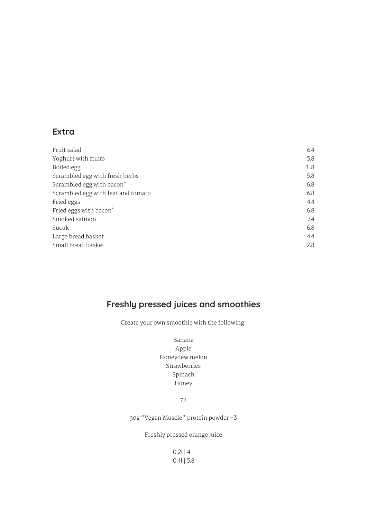## **Extra**

| Fruit salad                           | 6.4 |
|---------------------------------------|-----|
| Yoghurt with fruits                   | 5.8 |
| Boiled egg                            | 1.8 |
| Scrambled egg with fresh herbs        | 5.8 |
| Scrambled egg with bacon <sup>2</sup> | 6.8 |
| Scrambled egg with feat and tomato    | 6.8 |
| Fried eggs                            | 4.4 |
| Fried eggs with bacon $\overline{ }$  | 6.8 |
| Smoked salmon                         | 7.4 |
| Sucuk                                 | 6.8 |
| Large bread basket                    | 4.4 |
| Small bread basket                    | 2.8 |

## **Freshly pressed juices and smoothies**

Create your own smoothie with the following:

Banana Apple Honeydew melon Strawberries Spinach Honey

7.4

30g "Vegan Muscle" protein powder +3

Freshly pressed orange juice

 $0.2$ l | 4 0.4l | 5.8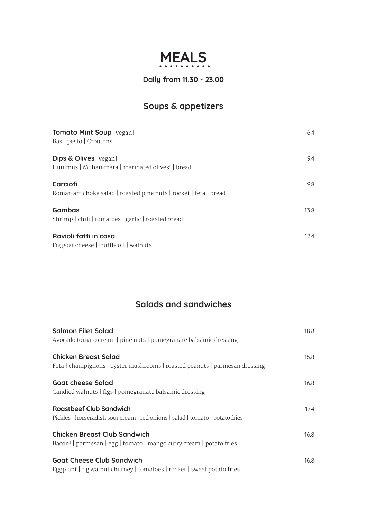## **MEALS**

## **Daily from 11.30 - 23.00**

## **Soups & appetizers**

| <b>Tomato Mint Soup</b> [vegan]<br>Basil pesto   Croutons                                      | 6.4  |
|------------------------------------------------------------------------------------------------|------|
| <b>Dips &amp; Olives</b> [vegan]<br>Hummus   Muhammara   marinated olives <sup>6</sup>   bread | 9.4  |
| Carciofi<br>Roman artichoke salad   roasted pine nuts   rocket   feta   bread                  | 9.8  |
| <b>Gambas</b><br>Shrimp   chili   tomatoes   garlic   roasted bread                            | 13.8 |
| Ravioli fatti in casa<br>Fig goat cheese   truffle oil   walnuts                               | 12.4 |

## **Salads and sandwiches**

| <b>Salmon Filet Salad</b><br>Avocado tomato cream   pine nuts   pomegranate balsamic dressing                          | 18.8 |
|------------------------------------------------------------------------------------------------------------------------|------|
| <b>Chicken Breast Salad</b><br>Feta   champignons   oyster mushrooms   roasted peanuts   parmesan dressing             | 15.8 |
| <b>Goat cheese Salad</b><br>Candied walnuts   figs   pomegranate balsamic dressing                                     | 16.8 |
| <b>Roastbeef Club Sandwich</b><br>Pickles   horseradish sour cream   red onions   salad   tomato   potato fries        | 17.4 |
| <b>Chicken Breast Club Sandwich</b><br>Bacon <sup>2</sup>   parmesan   egg   tomato   mango curry cream   potato fries | 16.8 |
| <b>Goat Cheese Club Sandwich</b><br>Eggplant   fig walnut chutney   tomatoes   rocket   sweet potato fries             | 16.8 |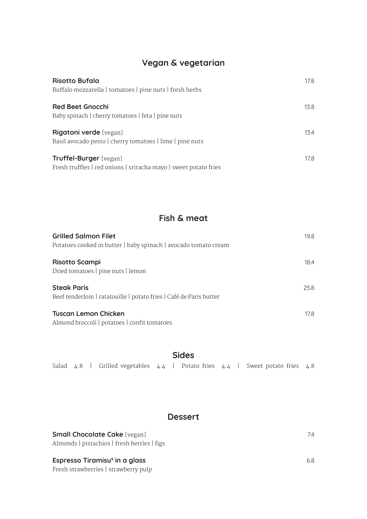## **Vegan & vegetarian**

| <b>Risotto Bufala</b><br>Buffalo mozzarella   tomatoes   pine nuts   fresh herbs                  | 17.8 |
|---------------------------------------------------------------------------------------------------|------|
| <b>Red Beet Gnocchi</b><br>Baby spinach   cherry tomatoes   feta   pine nuts                      | 13.8 |
| Rigatoni verde [vegan]<br>Basil avocado pesto   cherry tomatoes   lime   pine nuts                | 13.4 |
| <b>Truffel-Burger</b> [vegan]<br>Fresh truffles   red onions   sriracha mayo   sweet potato fries | 17.8 |

## **Fish & meat**

| <b>Grilled Salmon Filet</b><br>Potatoes cooked in butter   baby spinach   avocado tomato cream | 19.8 |
|------------------------------------------------------------------------------------------------|------|
| <b>Risotto Scampi</b><br>Dried tomatoes   pine nuts   lemon                                    | 18.4 |
| <b>Steak Paris</b><br>Beef tenderloin   ratatouille   potato fries   Café de Paris butter      | 25.8 |
| <b>Tuscan Lemon Chicken</b><br>Almond brossoli I notatoos Leonfit tomatoos                     | 17.8 |

Almond broccoli | potatoes | confit tomatoes

| <b>Sides</b> |  |  |  |  |  |  |  |  |                                                                                |  |
|--------------|--|--|--|--|--|--|--|--|--------------------------------------------------------------------------------|--|
|              |  |  |  |  |  |  |  |  | Salad 4.8   Grilled vegetables 4.4   Potato fries 4.4   Sweet potato fries 4.8 |  |

## **Dessert**

| <b>Small Chocolate Cake</b> [vegan]         | 7.4 |
|---------------------------------------------|-----|
| Almonds   pistachios   fresh berries   figs |     |
| Espresso Tiramisu <sup>9</sup> in a glass   | 6.8 |

Fresh strawberries | strawberry pulp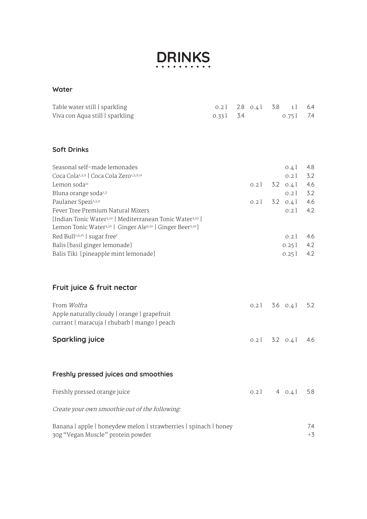

#### **Water**

| Table water still   sparkling<br>Viva con Aqua still   sparkling                                                                                                                                                                                                                                                     | $0.2$ $\overline{\phantom{0}}$<br>0.33 l | 3.4 | 2.8 $0.41$ 3.8                            | 1 <sup>1</sup><br>0.751                                            | 6.4<br>7.4                             |
|----------------------------------------------------------------------------------------------------------------------------------------------------------------------------------------------------------------------------------------------------------------------------------------------------------------------|------------------------------------------|-----|-------------------------------------------|--------------------------------------------------------------------|----------------------------------------|
| <b>Soft Drinks</b>                                                                                                                                                                                                                                                                                                   |                                          |     |                                           |                                                                    |                                        |
| Seasonal self-made lemonades<br>Coca Cola <sup>1,3,9</sup>   Coca Cola Zero <sup>1,3,9,11</sup><br>Lemon soda11<br>Bluna orange soda <sup>1,3</sup><br>Paulaner Spezi1,3,9<br>Fever Tree Premium Natural Mixers                                                                                                      |                                          |     | $0.2$ ]<br>$0.2$ $\overline{\phantom{a}}$ | 0.41<br>0.2<br>$3.2 \quad 0.41$<br>0.21<br>$3.2 \quad 0.4$<br>0.21 | 4.8<br>3.2<br>4.6<br>3.2<br>4.6<br>4.2 |
| [Indian Tonic Water <sup>3,10</sup>   Mediterranean Tonic Water <sup>3,10</sup>  <br>Lemon Tonic Water <sup>3,10</sup>   Ginger Ale <sup>3,10</sup>   Ginger Beer <sup>3,10</sup> ]<br>Red Bull <sup>1,9,15</sup>   sugar free <sup>1</sup><br>Balis [basil ginger lemonade]<br>Balis Tiki [pineapple mint lemonade] |                                          |     |                                           | 0.21<br>0.251<br>$0.25$ l                                          | 4.6<br>4.2<br>4.2                      |
| Fruit juice & fruit nectar                                                                                                                                                                                                                                                                                           |                                          |     |                                           |                                                                    |                                        |
| From Wolfra<br>Apple naturally cloudy   orange   grapefruit<br>currant   maracuja   rhubarb   mango   peach                                                                                                                                                                                                          |                                          |     |                                           | $0.21$ 3.6 $0.41$                                                  | 5.2                                    |
| <b>Sparkling juice</b>                                                                                                                                                                                                                                                                                               |                                          |     | 0.21                                      | $3.2 \quad 0.41$                                                   | 4.6                                    |
| Freshly pressed juices and smoothies                                                                                                                                                                                                                                                                                 |                                          |     |                                           |                                                                    |                                        |
| Freshly pressed orange juice                                                                                                                                                                                                                                                                                         |                                          |     | $0.2$ $\overline{\phantom{a}}$            | 4 $0.4$ l                                                          | 5.8                                    |
| Create your own smoothie out of the following:                                                                                                                                                                                                                                                                       |                                          |     |                                           |                                                                    |                                        |
| Banana   apple   honeydew melon   strawberries   spinach   honey<br>30g "Vegan Muscle" protein powder                                                                                                                                                                                                                |                                          |     |                                           |                                                                    | 7.4<br>$+3$                            |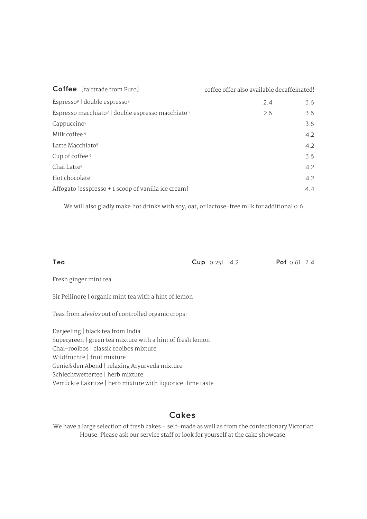| <b>Coffee</b> [fairtrade from Puro]                                    | coffee offer also available decaffeinated! |
|------------------------------------------------------------------------|--------------------------------------------|
| Espresso <sup>9</sup> double espresso <sup>9</sup>                     | 2.4<br>3.6                                 |
| Espresso macchiato <sup>9</sup> double espresso macchiato <sup>9</sup> | 2.8<br>3.8                                 |
| Cappuccino <sup>9</sup>                                                | 3.8                                        |
| Milk coffee <sup>9</sup>                                               | 4.2                                        |
| Latte Macchiato <sup>9</sup>                                           | $4.2^{\circ}$                              |
| Cup of coffee 9                                                        | 3.8                                        |
| Chai Latte <sup>9</sup>                                                | 4.2                                        |
| Hot chocolate                                                          | 4.2                                        |
| Affogato [esspresso + 1 scoop of vanilla ice cream]                    | 4.4                                        |

We will also gladly make hot drinks with soy, oat, or lactose-free milk for additional 0.6

**Tea Cup** 0.25l 4.2 **Pot** 0.6l 7.4

Fresh ginger mint tea

Sir Pellinore | organic mint tea with a hint of lemon

Teas from alvelus out of controlled organic crops:

Darjeeling | black tea from India Supergreen | green tea mixture with a hint of fresh lemon Chai-rooibos | classic rooibos mixture Wildfrüchte | fruit mixture Genieß den Abend | relaxing Aryurveda mixture Schlechtwettertee | herb mixture Verrückte Lakritze | herb mixture with liquorice-lime taste

## **Cakes**

We have a large selection of fresh cakes – self-made as well as from the confectionary Victorian House. Please ask our service staff or look for yourself at the cake showcase.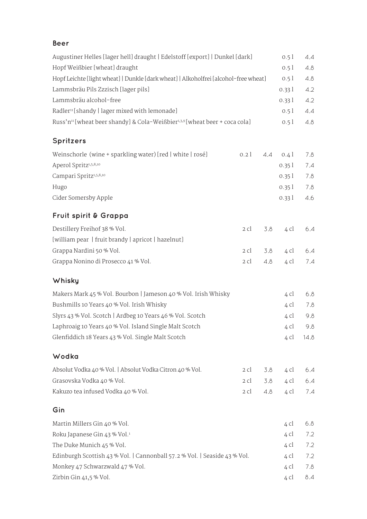### **Beer**

| Augustiner Helles [lager hell] draught   Edelstoff [export]   Dunkel [dark]                        | 0.51  | 4.4  |  |  |  |
|----------------------------------------------------------------------------------------------------|-------|------|--|--|--|
| Hopf Weißbier [wheat] draught                                                                      | 0.51  | 4.8  |  |  |  |
| Hopf Leichte [light wheat]   Dunkle [dark wheat]   Alkoholfrei [alcohol-free wheat]                | 0.51  | 4.8  |  |  |  |
| Lammsbräu Pils Zzzisch [lager pils]                                                                | 0.331 | 4.2  |  |  |  |
| Lammsbräu alcohol-free                                                                             | 0.331 | 4.2  |  |  |  |
| Radler <sup>11</sup> [shandy   lager mixed with lemonade]                                          | 0.51  | 4.4  |  |  |  |
| Russ'n <sup>11</sup> [wheat beer shandy] & Cola-Weißbier <sup>1,3,9</sup> [wheat beer + coca cola] | 0.51  | 4.8  |  |  |  |
| <b>Spritzers</b>                                                                                   |       |      |  |  |  |
| Weinschorle (wine + sparkling water) [red   white   rosé]<br>0.21<br>4.4                           | 0.41  | 7.8  |  |  |  |
| Aperol Spritz <sup>1,5,8,10</sup>                                                                  | 0.351 | 7.4  |  |  |  |
| Campari Spritz <sup>1,5,8,10</sup>                                                                 | 0.351 | 7.8  |  |  |  |
| Hugo                                                                                               | 0.351 | 7.8  |  |  |  |
| Cider Somersby Apple                                                                               | 0.331 | 4.6  |  |  |  |
| Fruit spirit & Grappa                                                                              |       |      |  |  |  |
| Destillery Freihof 38 % Vol.<br>2 cl<br>3.8                                                        | 4 cl  | 6.4  |  |  |  |
| [william pear   fruit brandy   apricot   hazelnut]                                                 |       |      |  |  |  |
| Grappa Nardini 50 % Vol.<br>2 cl<br>3.8                                                            | 4 cl  | 6.4  |  |  |  |
| Grappa Nonino di Prosecco 41 % Vol.<br>2 cl<br>4.8                                                 |       |      |  |  |  |
| Whisky                                                                                             |       |      |  |  |  |
| Makers Mark 45 % Vol. Bourbon   Jameson 40 % Vol. Irish Whisky                                     | 4 cl  | 6.8  |  |  |  |
| Bushmills 10 Years 40 % Vol. Irish Whisky                                                          | 4 cl  | 7.8  |  |  |  |
| Slyrs 43 % Vol. Scotch   Ardbeg 10 Years 46 % Vol. Scotch                                          | 4 cl  | 9.8  |  |  |  |
| Laphroaig 10 Years 40 % Vol. Island Single Malt Scotch                                             |       |      |  |  |  |
| Glenfiddich 18 Years 43 % Vol. Single Malt Scotch                                                  | 4 cl  | 14.8 |  |  |  |
| Wodka                                                                                              |       |      |  |  |  |
| Absolut Vodka 40 % Vol.   Absolut Vodka Citron 40 % Vol.<br>2 cl<br>3.8                            | 4 cl  | 6.4  |  |  |  |
| Grasovska Vodka 40 % Vol.<br>3.8<br>2 cl                                                           | 4 cl  | 6.4  |  |  |  |
| Kakuzo tea infused Vodka 40 % Vol.<br>4.8<br>2 cl                                                  | 4 cl  | 7.4  |  |  |  |
| Gin                                                                                                |       |      |  |  |  |
| Martin Millers Gin 40 % Vol.                                                                       | 4 cl  | 6.8  |  |  |  |
| Roku Japanese Gin 43 % Vol. <sup>1</sup>                                                           | 4 cl  | 7.2  |  |  |  |
| The Duke Munich 45 % Vol.                                                                          | 4 cl  | 7.2  |  |  |  |
|                                                                                                    |       |      |  |  |  |
| Edinburgh Scottish 43 % Vol.   Cannonball 57.2 % Vol.   Seaside 43 % Vol.                          | 4 cl  | 7.2  |  |  |  |
| Monkey 47 Schwarzwald 47 % Vol.                                                                    | 4 cl  | 7.8  |  |  |  |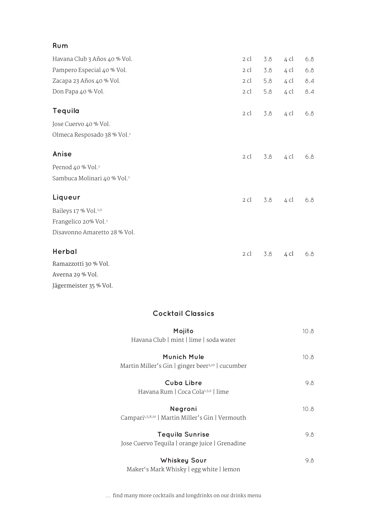| Rum                                     |      |     |      |     |
|-----------------------------------------|------|-----|------|-----|
| Havana Club 3 Años 40 % Vol.            | 2 cl | 3.8 | 4 cl | 6.8 |
| Pampero Especial 40 % Vol.              | 2 cl | 3.8 | 4 cl | 6.8 |
| Zacapa 23 Años 40 % Vol.                | 2 cl | 5.8 | 4 cl | 8.4 |
| Don Papa 40 % Vol.                      | 2 cl | 5.8 | 4 cl | 8.4 |
| Tequila                                 | 2 cl | 3.8 | 4 cl | 6.8 |
| Jose Cuervo 40 % Vol.                   |      |     |      |     |
| Olmeca Resposado 38 % Vol. <sup>1</sup> |      |     |      |     |
| Anise                                   | 2 cl | 3.8 | 4 cl | 6.8 |
| Pernod 40 % Vol. <sup>1</sup>           |      |     |      |     |
| Sambuca Molinari 40 % Vol. <sup>1</sup> |      |     |      |     |
| Liqueur                                 | 2 cl | 3.8 | 4 cl | 6.8 |
| Baileys 17 % Vol. <sup>1,9</sup>        |      |     |      |     |
| Frangelico 20% Vol. <sup>1</sup>        |      |     |      |     |
| Disavonno Amaretto 28 % Vol.            |      |     |      |     |
| Herbal                                  | 2 cl | 3.8 | 4 cl | 6.8 |
| Ramazzotti 30 % Vol.                    |      |     |      |     |

Averna 29 % Vol. Jägermeister 35 % Vol.

### **Cocktail Classics**

| Mojito<br>Havana Club   mint   lime   soda water                            | 10.8 |
|-----------------------------------------------------------------------------|------|
| Munich Mule<br>Martin Miller's Gin   ginger beer <sup>3,10</sup>   cucumber | 10.8 |
| Cuba Libre<br>Havana Rum   Coca Cola <sup>1,3,9</sup>   lime                | 9.8  |
| Negroni<br>Campari <sup>1,5,8,10</sup>   Martin Miller's Gin   Vermouth     | 10.8 |
| <b>Tequila Sunrise</b><br>Jose Cuervo Tequila   orange juice   Grenadine    | 9.8  |
| <b>Whiskey Sour</b><br>Maker's Mark Whisky   egg white   lemon              | 9.8  |

... find many more cocktails and longdrinks on our drinks menu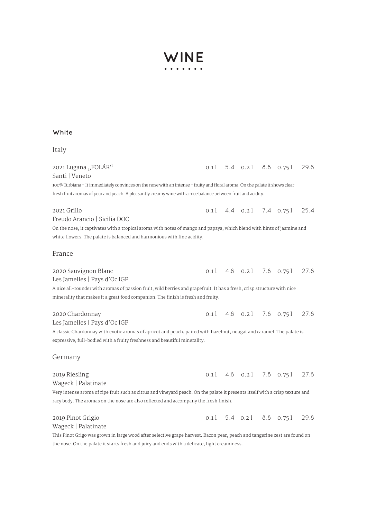# **WINE**

#### **White**

#### Italy

2021 Lugana "FOLÁR" Santi | Veneto 100% Turbiana - It immediately convinces on the nose with an intense - fruity and floral aroma. On the palate it shows clear fresh fruit aromas of pear and peach. A pleasantly creamy wine with a nice balance between fruit and acidity. 2021 Grillo Freudo Arancio | Sicilia DOC On the nose, it captivates with a tropical aroma with notes of mango and papaya, which blend with hints of jasmine and white flowers. The palate is balanced and harmonious with fine acidity. France 2020 Sauvignon Blanc Les Jamelles | Pays d'Oc IGP A nice all-rounder with aromas of passion fruit, wild berries and grapefruit. It has a fresh, crisp structure with nice minerality that makes it a great food companion. The finish is fresh and fruity. 2020 Chardonnay Les Jamelles | Pays d'Oc IGP A classic Chardonnay with exotic aromas of apricot and peach, paired with hazelnut, nougat and caramel. The palate is expressive, full-bodied with a fruity freshness and beautiful minerality. Germany 2019 Riesling Wageck | Palatinate Very intense aroma of ripe fruit such as citrus and vineyard peach. On the palate it presents itself with a crisp texture and racy body. The aromas on the nose are also reflected and accompany the fresh finish. 2019 Pinot Grigio Wageck | Palatinate 0.1 | 5.4 0.2 | 8.8 0.75 | 29.8 0.1 | 4.4 0.2 | 7.4 0.75 | 25.4 0.1 | 4.8 0.2 | 7.8 0.75 | 27.8 0.1 | 5.4 0.2 | 8.8 0.75 | 29.8 0.1 | 4.8 0.2 | 7.8 0.75 | 27.8 0.1 | 4.8 0.2 | 7.8 0.75 | 27.8

This Pinot Grigo was grown in large wood after selective grape harvest. Bacon pear, peach and tangerine zest are found on the nose. On the palate it starts fresh and juicy and ends with a delicate, light creaminess.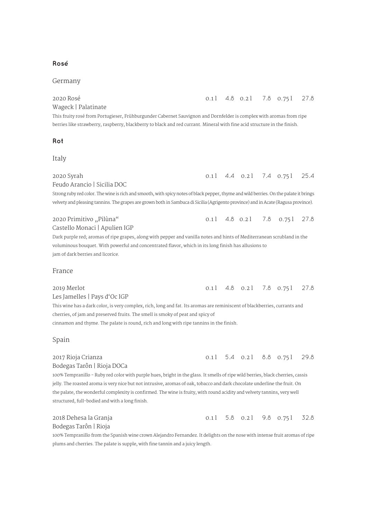#### **Rosé**

#### Germany

2020 Rosé Wageck | Palatinate This fruity rosé from Portugieser, Frühburgunder Cabernet Sauvignon and Dornfelder is complex with aromas from ripe berries like strawberry, raspberry, blackberry to black and red currant. Mineral with fine acid structure in the finish. **Rot** Italy 2020 Syrah Feudo Arancio | Sicilia DOC Strong ruby red color. The wine is rich and smooth, with spicy notes of black pepper, thyme and wild berries. On the palate it brings velvety and pleasing tannins. The grapes are grown both in Sambuca di Sicilia (Agrigento province) and in Acate (Ragusa province). 2020 Primitivo "Pilùna" Castello Monaci | Apulien IGP Dark purple red; aromas of ripe grapes, along with pepper and vanilla notes and hints of Mediterranean scrubland in the voluminous bouquet. With powerful and concentrated flavor, which in its long finish has allusions to jam of dark berries and licorice. France 2019 Merlot Les Jamelles | Pays d'Oc IGP This wine has a dark color, is very complex, rich, long and fat. Its aromas are reminiscent of blackberries, currants and cherries, of jam and preserved fruits. The smell is smoky of peat and spicy of cinnamon and thyme. The palate is round, rich and long with ripe tannins in the finish. Spain 2017 Rioja Crianza Bodegas Tarôn | Rioja DOCa 0.1 | 4.4 0.2 | 7.4 0.75 | 25.4 0.1 | 4.8 0.2 | 7.8 0.75 | 27.8 0.1 4.8 0.2 | 7.8 0.75 | 27.8 0.1 4.8 0.2 | 7.8 0.75 | 27.8 0.1 | 5.4 0.2 | 8.8 0.75 | 29.8

100% Tempranillo - Ruby red color with purple hues, bright in the glass. It smells of ripe wild berries, black cherries, cassis jelly. The roasted aroma is very nice but not intrusive, aromas of oak, tobacco and dark chocolate underline the fruit. On the palate, the wonderful complexity is confirmed. The wine is fruity, with round acidity and velvety tannins, very well structured, full-bodied and with a long finish.

| 2018 Dehesa la Granja |  |  | 0.1 5.8 0.2 9.8 0.75 32.8 |  |
|-----------------------|--|--|---------------------------|--|
| Bodegas Tarôn   Rioja |  |  |                           |  |

100% Tempranillo from the Spanish wine crown Alejandro Fernandez. It delights on the nose with intense fruit aromas of ripe plums and cherries. The palate is supple, with fine tannin and a juicy length.